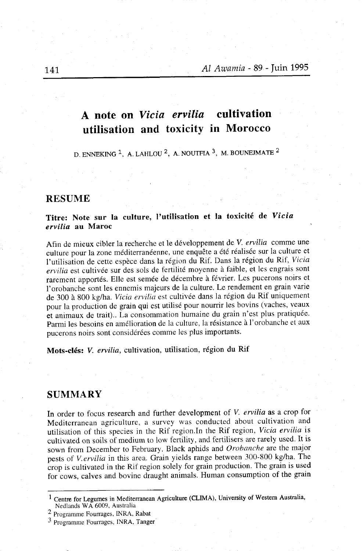# A note on Vicia ervilia cultivation utilisation and toxicity in Morocco

D. ENNEKING  $1$ , A. LAHLOU  $2$ , A. NOUTFIA  $3$ , M. BOUNEJMATE  $2$ 

# RESUME

# Titre: Note sur la culture, I'utilisation et la toxicité de Vicia ervilia au Maroc

Afin de mieux cibler la recherche et le développement de V. ervilia comme une culture pour la zone méditerranéenne, une enquête a été téalisée sur la culture et l'utilisation de cette espèce dans la région du Rif. Dans la région du Rif, Vicia ervilia est cultivée sur des sols de fertilité moyenne à faible, et les engrais sont rarement apportés. Elle est semée de décembre à février. Les pucerons noirs et I'orobanchè sont les ennemis majeurs de la culture. Le rendement en grain varie de 300 à 800 kg/ha. Vicia ervilia est cultivée dans la région du Rif uniquement pour la production de grain qui est utilisé pour nourrir les bovins (vaches, veaux èt animaux de trait).. La consommation humaine du grain n'est plus pratiquée. Parmi les besoins en amélioration de la culture, la résistance à I'orobanche et aux pucerons noirs sont considérées comme les plus importants.

Mots-clés: V. ervilia, cultivation, utilisation, région du Rif

# **SUMMARY**

In order to focus research and further development of V. ervilia as a crop for Mediterranean agriculture, a survey was conducted about cultivation and utilisation of this species in the Rif region. In the Rif region, Vicia ervilia is cultivated on soils of medium to low fertility, and fertilisers are rarely used. It is sown from December to February. Black aphids and Orobanche are the major pests of V.ervilia in this area. Grain yields range between 300-800 kg/ha. The crop is cultivated in the Rif region solely for grain production. The grain is used for cows, calves and bovine draught animals. Human Çonsumption of the grain

Centre for Legumes in Mediterranean Agriculture (CLIMA), University of Western Australia, Nedlands WA 6009, Australia

<sup>&</sup>lt;sup>2</sup> Programme Fourrages, INRA, Rabat

<sup>&</sup>lt;sup>3</sup> Programme Fourrages, INRA, Tanger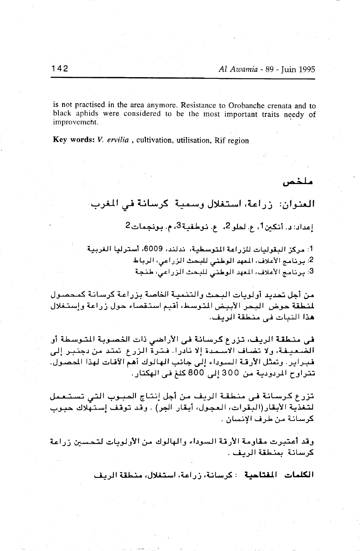is not practised in the area anymore. Resistance to Orobanche crenata and to black aphids were considered to be the most important traits needy of improvemeht

Key words: V. ervilia, cultivation, utilisation, Rif region

ملخمن

العنوان: أزراعة، آستغلال وسمية اكرسانة في المغرب.

إعداد: د. أنكين أ، ع. لحلو 2، ع. نوطفية 3، م. بونجمات 2

1: مركز البقوليات للزراعة المتوسطية، تدلند، 6009، أسترليا الغربية 2. برنامج الأعلاف، المهد الوطئي للبحث الزراعي، الرباط 3: برنامج الأعلاف، المعهد الوطئي للبحث الزراعي، طنجة

من أجل تحديد أولويات البحث والتنمية الخاصة بزراعة كرسانة كمحصول لمنطقة حوض الدحر الأبيض المتوسط، أقيم استقصاء حول زراعة وإستغلال هذا النبات في منطقة الربف.

في منطقة الريف، تزرع كرسانة في الأراضي ذات الخصوبة المتوسطة أو الضَّاميغة، ولا تضاف الأسلمدة إلا نادرا. فترة الزراع اتمتد من دجنبر إلى فبراير. وتمثل الأرقة السوداء إلى جانب الهالوك أهم الآفات لهذا المصول. تتراوح المردودية من 300 إلى 800 كلغ في الهكتار.

تزرع كرسانة في منطقة الريف من أجل إنتاج الحبوب التي تستعمل لتغذية الأبقار(البقرات، العجول، أبقار الجر) . وقد توقف إستهلاك حبوب كرسانة من طرف الإنسان .

وقد أعتبرت مقاومة الأرقة السوداء والهالوك من الأولويات لتحسبن زراعة كرسانة بمنطقة الربف .

الكلمات المفتاحية : كرسانة، زراعة، استغلال، منطقة الريف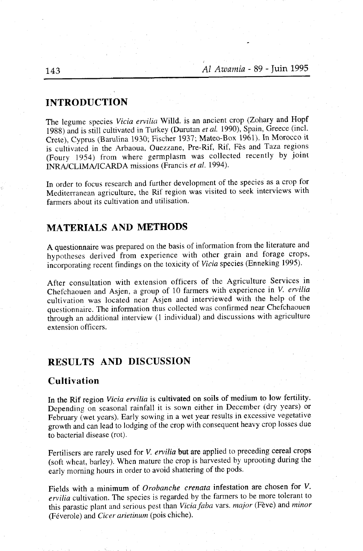## INTRODUCTION

The legume species Vicia ervilia Willd. is an ancient crop (Zohary and Hopf 1988) and is still cultivated in Turkey (Durutan et al. 1990), Spain, Greece (incl. crete), Cyprus (Barulina 1930; Fischer 1931; Mateo-Box 1961). In Morocco it is cultivated in the Arbaoua, Ouezzane, Pre-Rif, Rif, Fès and Taza regions (Foury 1954) from where germplasm was collected recently by joint INRA/CLIMA/ICARDA missions (Francis et al. 1994).

In order to focus research and further development of the species as a crop for Mediterranean agricutture, the Rif region was visited to seek interviews with farmers about its cultivation and utilisation.

# MATERIALS AND METHODS

A questionnaire was prepared on the basis of information from the literature and hypotheses derived from experience with other grain and forage crops, incorporating recent findings on the toxicity of Vicia species (Enneking 1995).

After consultation with extension officers of the Agriculture Services in Chefchaouen and Asjen, a group of 10 farmers with experience in V. ervilia cultivation was located near Asjen and interviewed with the help of the questionnaire. The information thus collected was confirmed near Chefchaouen through an additional interview (1 individual) and discussions with agriculture extension officers.

#### RESULTS AND DISCUSSION

# Cultivation

In the Rif region Vicia ervilia is cultivated on soils of medium to low fertility. Depending on seasonal rainfall it is sown either in December (dry years) or February (wet years). Early sowing in a wet year results in excessive vegetative growth and can lead to lodging of the crop with consequent heavy crop losses due to bacterial disease (rot).

Fertilisers are rarely used for *V. ervilia* but are applied to preceding cereal crops (soft wheat, barley). When mature the crop is harvested by uprooting during the early morning hours in order to avoid shattering of the pods.

Fields with a minimum of Orobanche crenata infestation are chosen for V. ervilia cultivation. The species is regarded by the farmers to be more tolerant to this parastic plant and serious pest than Vicia faba vars. major (Fève) and minor (Féverole) and Cicer arietinum (pois chiche).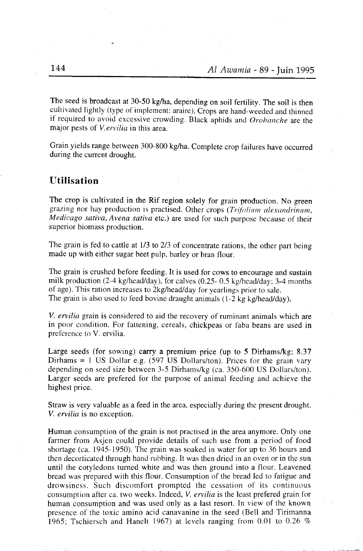The seed is broadcast at 30-50 kg/ha, depending on soil fertility. The soil is then cultivated lightly (type of implement: araire). Crops are hand-weeded and thinned if required to avoid excessive crowding. Black aphids and  $Orobanche$  are the major pests of V.ervilia in this area.

Grain yields range between 300-800 kg/ha. Complete crop failures have occurred during the current drought.

# Utilisation

The crop is cultivated in the Rif region solely for grain production. No green grazing nor hay production is practised. Other crops (Trifolium alexandrinum, Medicago sativa, Avena sativa etc.) are used for such purpose because of their superior biomass production.

The grain is fed to cattle at  $1/3$  to  $2/3$  of concentrate rations, the other part being made up with either sugar beet pulp, barley or bran flour.

The grain is crushed before feeding. It is used for cows to encourage and sustain milk production (2-4 kg/head/day), for calves (0.25- 0.5 kg/head/day; 3-4 months of age). This ration increases to 2kglhead/day for yearlings prior to sale. The grain is also used to feed bovine draught animals (1-2 kg kg/head/day).

V. ervilia grain is considered to aid the recovery of ruminant animals which are in poor condition. For fattening, cereals, chickpeas or faba beans are used in preference to V. ervilia.

Large seeds (for sowing) carry a premium price (up to 5 Dirhams/kg; 8.37 Dirhams  $= 1$  US Dollar e.g. (597 US Dollars/ton). Prices for the grain vary depending on seed size between 3-5 Dirharns/kg (ca. 350-600 US Dollars/ton). Larger seeds are prefered for the purpose of animal feeding and achieve the highest price.

Straw is very valuable as a feed in the area, especially during the present drought. V. ervilia is no exception.

Human consumption of the grain is not practised in the area anymore. Only one farmer from Asjen could provide details of such use from a period of food shortage (ca. 1945-1950). The grain was soaked in water for up to 36 hours and then decorticated through hancl rubbing. It was then dried in an oven or in the sun until the cotyledons turned white and was then ground into a flour. Leavened bread was prepared with this flour. Consumption of the bread led to fatigue and drowsiness. Such discomfort prompted the cessation of its continuous consumption after ca. two weeks. Indeed,  $V$ , ervilia is the least prefered grain for human consumption and was used only as a last resort. In view of the known presence of the toxic amino acid canavanine in the seed (Bell and Tirimanna 1965; Tschiersch and Hanelt 1967) at levels ranging from 0.01 to 0.26  $\%$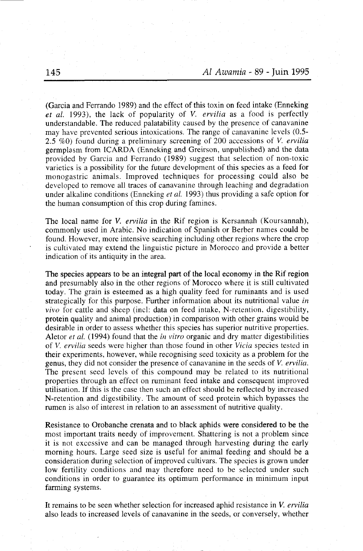(Garcia and Ferrando 1989) and the effect of this toxin on feed intake (Enneking) et al. 1993), the lack of popularity of V. ervilia as a food is perfectly understandable. The reduced palatability caused by the presence of canavanine may have prevented serious intoxications. The range of canavanine levels (0.5- 2.5 %0) found during a preliminary screening of 200 accessions of V. ervilia germplasm from ICARDA (Enneking and Greirson, unpublished) and the data provided by Garcia and Ferrando (1989) suggest that selection of non-toxic varieties is a possibility for the future development of this species as a feed for monogastric animals. Improved techniques for processing could also be developed to remove all traces of canavanine through leaching and degradation under alkaline conditions (Enneking et al. 1993) thus providing a safe option for the human consumption of this crop during famines.

The local name for *V. ervilia* in the Rif region is Kersannah (Koursannah), commonly used in Arabic. No indication of Spanish or Berber names could be found. However, more intensive searching including other regions where the crop is cultivated may extend the linguistic picture in Morocco and provide a better indication of its antiquity in the area.

The species appears to be an integral part of the local economy in the Rif region and presumably also in the other regions of Morocco where it is still cultivated today. The grain is esteemed as a high quality feed for ruminants and is used strategically for this purpose. Further information about its nutritional value in  $vivo$  for cattle and sheep (incl: data on feed intake, N-retention, digestibility, protein quality and animal production) in comparison with other grains would be desirable in order to assess whether this species has superior nutritive properties. Aletor *et al.* (1994) found that the *in vitro* organic and dry matter digestibilities of *V. ervilia* seeds were higher than those found in other *Vicia* species tested in their experiments, however, while recognising seed toxicity as a problem for the genus, they did not consider the presence of canavanine in the seeds of V. ervilia. The present seed levels of this compound may be related to its nutritional properties through an effèct on ruminant feed intake and consequent improved utilisation. If this is the case then such an effect should be reflected by increased N-retention and digestibility. The amount of seed protein which bypasses the rumen is also of interest in relation to an assessment of nutritive quality.

Resistance to Orobanche crenata and to black aphids were considered to be the most important traits needy of improvement. Shattering is not a problem since it is not excessive and can be managed through harvesting during the early morning hours. Large seed size is useful for animal feeding and should be a consideration during selection of improved cultivars. The species is grown under low fertility conditions and may therefore need to be selected under such conditions in order to guarantee its optimum performance in minimum input farming systems.

It remains to be seen whether selection for increased aphid resistance in  $V$ . ervilia also leads to increased levels of canavanine in the seeds, or conversely, whether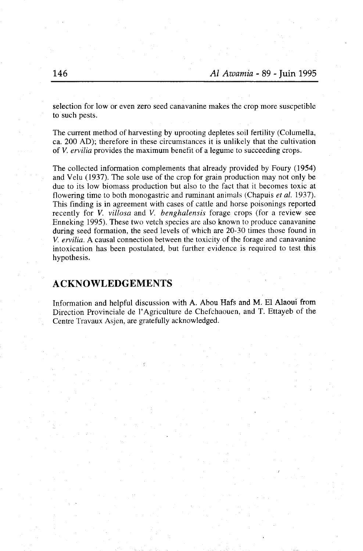selection for low or even zero seed canavanine makes the crop more suscpetible to such pests.

The current method of harvesting by uprooting depletes soil fertility (Columella, ca. 200 AD); therefore in these circumstances it is unlikely that the cultivation of V. ervilia provides the maximum benefit of a legume to succeeding crops.

The collected information complements that already provided by Foury (1954) and Velu (1937). The sole use of the crop for grain production may not only be due to its low biomass production but also to the fact that it becomes toxic at flowering time to both monogastric and ruminant animals (Chapuis et al. 1937). This finding is in agreement with cases of cattle and horse poisonings reported recently for V. villosa and V. benghalensis forage crops (for a review see Enneking 1995). These two vetch species are also known to produce canavanine during seed formation, the seed levels of which are 20-30 times those found in V. ervilia. A causal connection between the toxicity of the forage and canavanine intoxication has been postulated, but further evidence is required to test this hypothesis.

# ACKNOWLEDGEMENTS

Information and helpful discussion with A. Abou Hafs and M. El Alaoui from Direction Provinciale de I'Agriculture de Chefchaouen, and T. Ettayeb of the Centre Travaux Asjen, are gratefully acknowledged.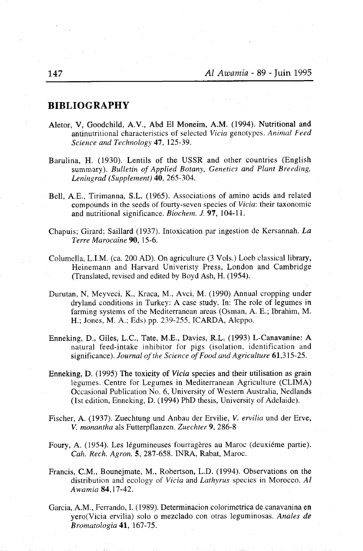#### BIBLIOGRAPHY

- Aletor, V, Goodchild, A.V., Abd El Moneim, A.M. (1994). Nutritional and antinutritional characteristics of selected Vicia genotypes. Animal Feed Science and Technology 47, 125-39.
- Barulina, H. (1930). Lentils of the USSR and other countries (English summary). Bulletin of Applied Botany, Genetics and Plant Breeding, Leningrad (Supplement) 40, 265-304.
- Bell, A.E., Tirimanna, S.L. (1965). Associations of amino acids and related compounds in the seeds of fourty-seven species of Vicia: their taxonomic and nutritional significance, *Biochem. J.* 97, 104-11.
- Chapuis; Girard; Saillard (1937). Intoxication par ingestion de Kersannah.  $La$ Terre Marocaine 90, 15-6.
- Columella, L,I.M. (ca. 200 AD). On agriculture (3 Vols.) Loeb classical library, Heinemann and Harvard Univeristy Press, London and Cambridge (Translated, revised and edited by Boyd Ash, H. (1954).
- Durutan, N, Meyveci, K., Kraca, M., Avci, M. (1990) Annual cropping under dryland conditions in Turkey: A case study. In: The role of legumes in farming systems of the Mediterranean areas (Osman, A. E.; Ibrahim, M. H.; Jones, M. A.; Eds) pp. 239-255, ICARDA, Aleppo.
- Enneking, D., Giles, L.C., Tate, M.E., Davies, R.L. (1993) L-Canavanine: A natural feed-intake inhibitor for pigs (isolation, identification and significance). Journal of the Science of Food and Agriculture 61,315-25.
- Enneking, D. (1995) The toxicity of Vicia species and their utilisation as grain legumes. Centre for Legumes in Mediterranean Agriculture (CLIMA) Occasional Publication No. 6, University of Western Australia, Nedlands (1st edition, Enneking, D. (1994) PhD thesis, University of Adelaide).
- Fischer, A. (1937). Zuechtung und Anbau der Ervilie, V. ervilia und der Erve, V. monantha als Futterpflanzen. Zuechter 9, 286-8
- Foury, A. (1954). Les légumineuses fourragères au Maroc (deuxiéme partie). Cah. Rech. Agron.5, 287-658. INRA, Rabat, Maroc.
- Francis, C.M., Bounejmate, M., Robertson, L.D. (1994). Observations on the distribution and ecology of Vicia and Lathyrus species in Morocco. Al Awamia 84,17-42.
- Garcia, A.M., Ferrando, I. (1989). Determinacion colorimetrica de canavanina en yero(Vicia ervilia) solo o mezclado con otras leguminosas. Anales de Bromatologia 41, 167-75.